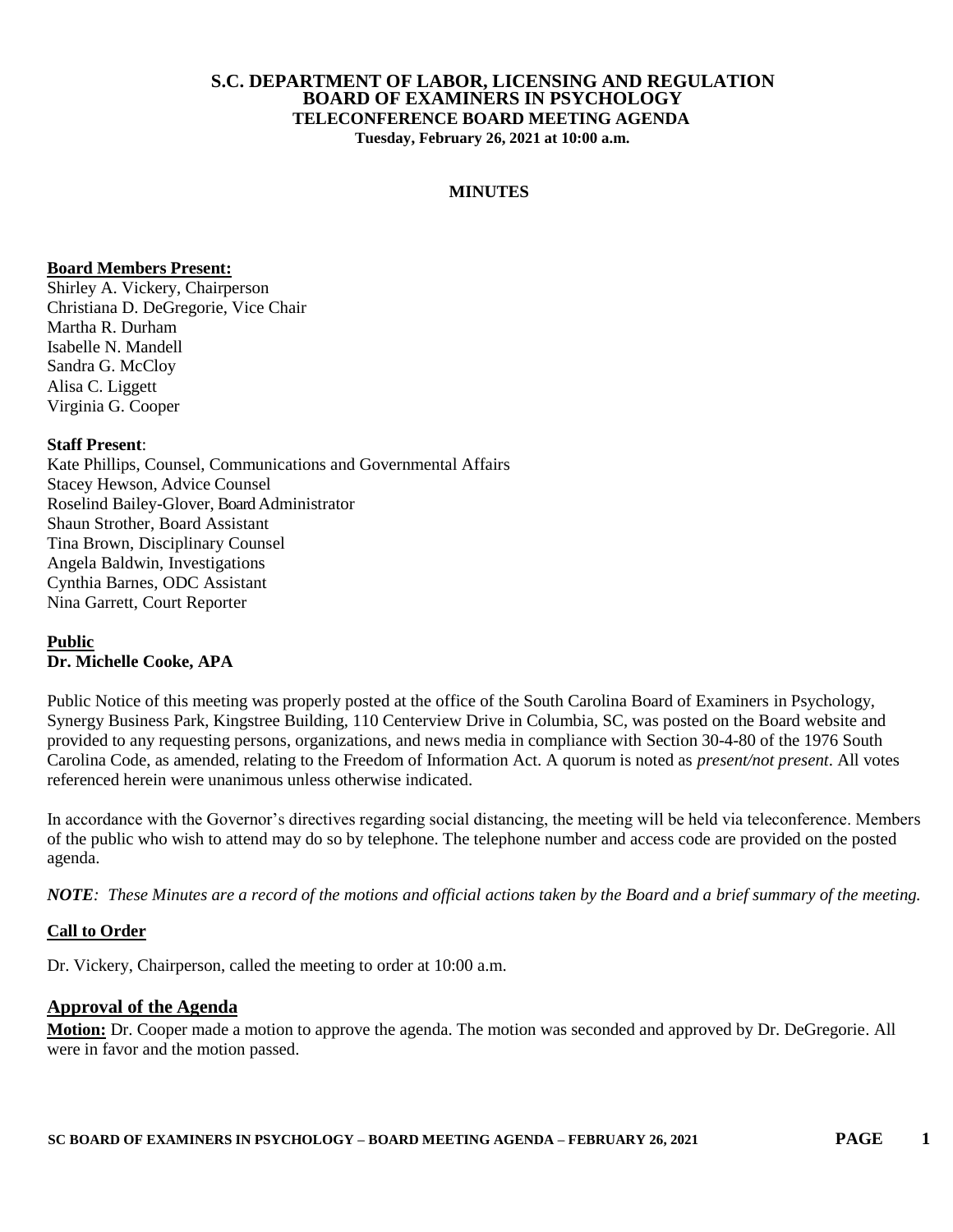#### **S.C. DEPARTMENT OF LABOR, LICENSING AND REGULATION BOARD OF EXAMINERS IN PSYCHOLOGY TELECONFERENCE BOARD MEETING AGENDA Tuesday, February 26, 2021 at 10:00 a.m.**

#### **MINUTES**

#### **Board Members Present:**

Shirley A. Vickery, Chairperson Christiana D. DeGregorie, Vice Chair Martha R. Durham Isabelle N. Mandell Sandra G. McCloy Alisa C. Liggett Virginia G. Cooper

#### **Staff Present**:

Kate Phillips, Counsel, Communications and Governmental Affairs Stacey Hewson, Advice Counsel Roselind Bailey-Glover, Board Administrator Shaun Strother, Board Assistant Tina Brown, Disciplinary Counsel Angela Baldwin, Investigations Cynthia Barnes, ODC Assistant Nina Garrett, Court Reporter

#### **Public Dr. Michelle Cooke, APA**

Public Notice of this meeting was properly posted at the office of the South Carolina Board of Examiners in Psychology, Synergy Business Park, Kingstree Building, 110 Centerview Drive in Columbia, SC, was posted on the Board website and provided to any requesting persons, organizations, and news media in compliance with Section 30-4-80 of the 1976 South Carolina Code, as amended, relating to the Freedom of Information Act. A quorum is noted as *present/not present*. All votes referenced herein were unanimous unless otherwise indicated.

In accordance with the Governor's directives regarding social distancing, the meeting will be held via teleconference. Members of the public who wish to attend may do so by telephone. The telephone number and access code are provided on the posted agenda.

*NOTE: These Minutes are a record of the motions and official actions taken by the Board and a brief summary of the meeting.*

#### **Call to Order**

Dr. Vickery, Chairperson, called the meeting to order at 10:00 a.m.

#### **Approval of the Agenda**

**Motion:** Dr. Cooper made a motion to approve the agenda. The motion was seconded and approved by Dr. DeGregorie. All were in favor and the motion passed.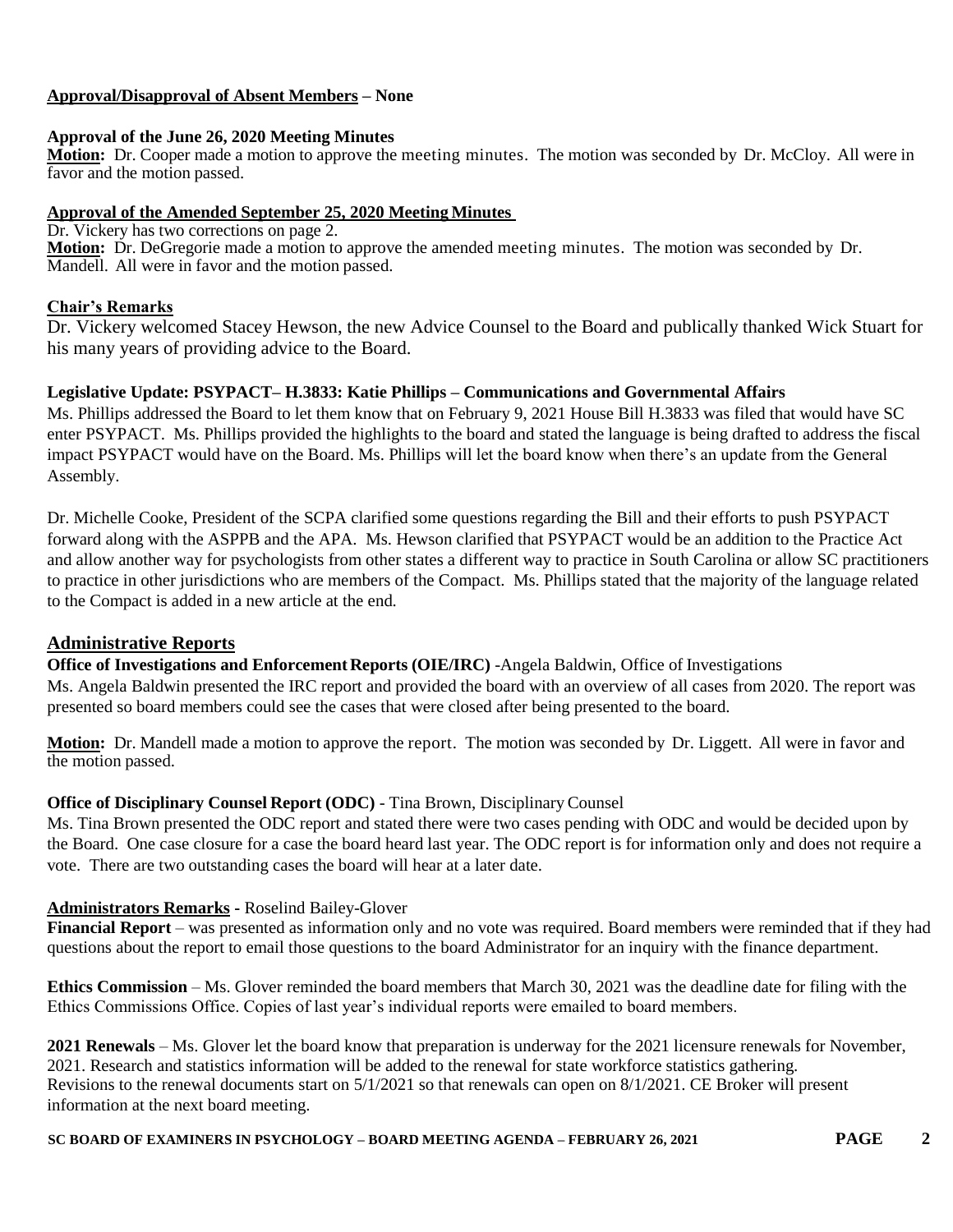### **Approval/Disapproval of Absent Members – None**

#### **Approval of the June 26, 2020 Meeting Minutes**

**Motion:** Dr. Cooper made a motion to approve the meeting minutes. The motion was seconded by Dr. McCloy. All were in favor and the motion passed.

### **Approval of the Amended September 25, 2020 Meeting Minutes**

Dr. Vickery has two corrections on page 2. **Motion:** Dr. DeGregorie made a motion to approve the amended meeting minutes. The motion was seconded by Dr. Mandell. All were in favor and the motion passed.

# **Chair's Remarks**

Dr. Vickery welcomed Stacey Hewson, the new Advice Counsel to the Board and publically thanked Wick Stuart for his many years of providing advice to the Board.

### **Legislative Update: PSYPACT– H.3833: Katie Phillips – Communications and Governmental Affairs**

Ms. Phillips addressed the Board to let them know that on February 9, 2021 House Bill H.3833 was filed that would have SC enter PSYPACT. Ms. Phillips provided the highlights to the board and stated the language is being drafted to address the fiscal impact PSYPACT would have on the Board. Ms. Phillips will let the board know when there's an update from the General Assembly.

Dr. Michelle Cooke, President of the SCPA clarified some questions regarding the Bill and their efforts to push PSYPACT forward along with the ASPPB and the APA. Ms. Hewson clarified that PSYPACT would be an addition to the Practice Act and allow another way for psychologists from other states a different way to practice in South Carolina or allow SC practitioners to practice in other jurisdictions who are members of the Compact. Ms. Phillips stated that the majority of the language related to the Compact is added in a new article at the end.

# **Administrative Reports**

**Office of Investigations and Enforcement Reports (OIE/IRC)** -Angela Baldwin, Office of Investigations

Ms. Angela Baldwin presented the IRC report and provided the board with an overview of all cases from 2020. The report was presented so board members could see the cases that were closed after being presented to the board.

**Motion:** Dr. Mandell made a motion to approve the report. The motion was seconded by Dr. Liggett. All were in favor and the motion passed.

# **Office of Disciplinary Counsel Report (ODC)** - Tina Brown, Disciplinary Counsel

Ms. Tina Brown presented the ODC report and stated there were two cases pending with ODC and would be decided upon by the Board. One case closure for a case the board heard last year. The ODC report is for information only and does not require a vote. There are two outstanding cases the board will hear at a later date.

# **Administrators Remarks -** Roselind Bailey-Glover

**Financial Report** – was presented as information only and no vote was required. Board members were reminded that if they had questions about the report to email those questions to the board Administrator for an inquiry with the finance department.

**Ethics Commission** – Ms. Glover reminded the board members that March 30, 2021 was the deadline date for filing with the Ethics Commissions Office. Copies of last year's individual reports were emailed to board members.

**2021 Renewals** – Ms. Glover let the board know that preparation is underway for the 2021 licensure renewals for November, 2021. Research and statistics information will be added to the renewal for state workforce statistics gathering. Revisions to the renewal documents start on 5/1/2021 so that renewals can open on 8/1/2021. CE Broker will present information at the next board meeting.

**SC BOARD OF EXAMINERS IN PSYCHOLOGY – BOARD MEETING AGENDA – FEBRUARY 26, 2021 PAGE 2**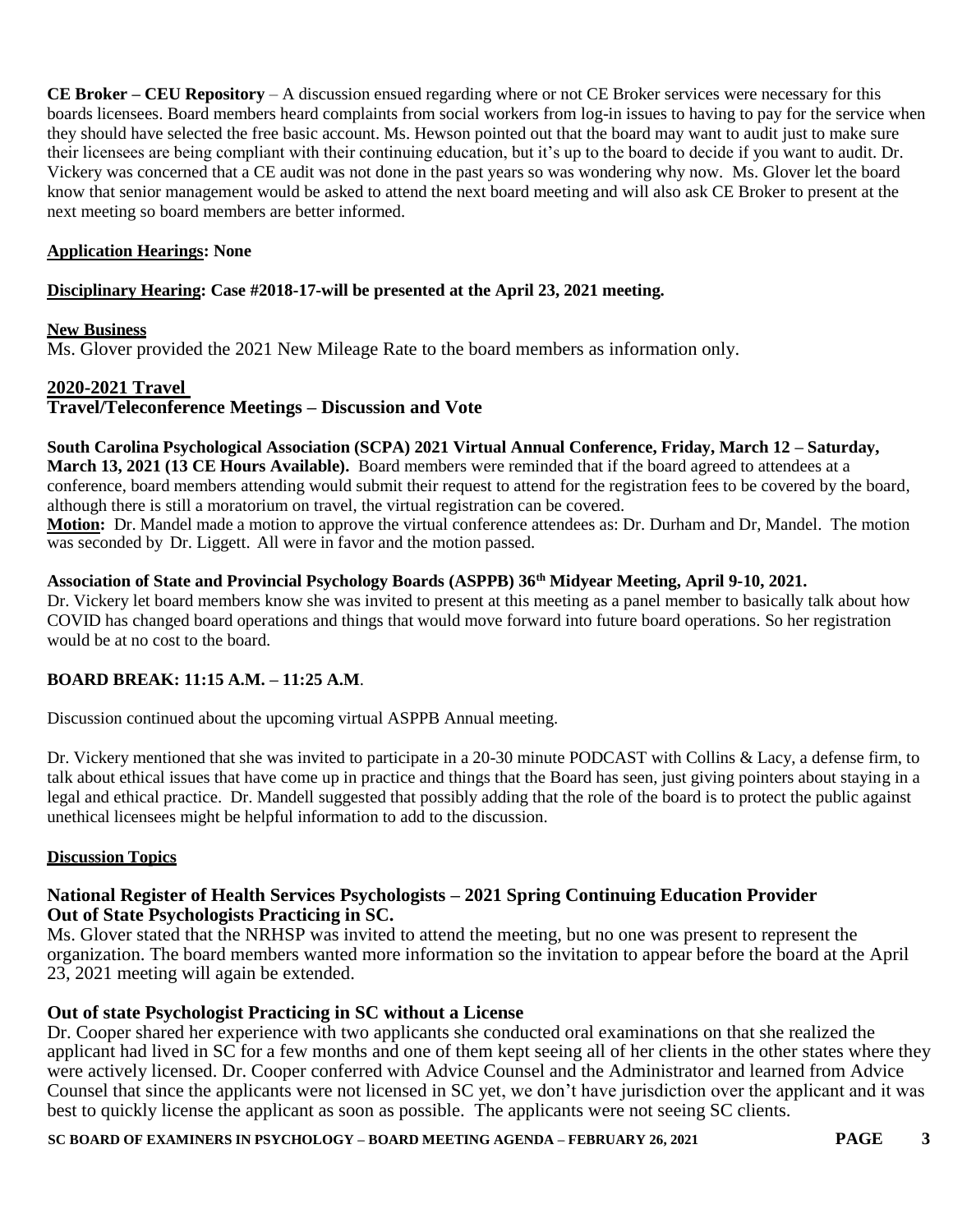**CE Broker – CEU Repository** – A discussion ensued regarding where or not CE Broker services were necessary for this boards licensees. Board members heard complaints from social workers from log-in issues to having to pay for the service when they should have selected the free basic account. Ms. Hewson pointed out that the board may want to audit just to make sure their licensees are being compliant with their continuing education, but it's up to the board to decide if you want to audit. Dr. Vickery was concerned that a CE audit was not done in the past years so was wondering why now. Ms. Glover let the board know that senior management would be asked to attend the next board meeting and will also ask CE Broker to present at the next meeting so board members are better informed.

# **Application Hearings: None**

# **Disciplinary Hearing: Case #2018-17-will be presented at the April 23, 2021 meeting.**

#### **New Business**

Ms. Glover provided the 2021 New Mileage Rate to the board members as information only.

### **2020-2021 Travel**

**Travel/Teleconference Meetings – Discussion and Vote**

**South Carolina Psychological Association (SCPA) 2021 Virtual Annual Conference, Friday, March 12 – Saturday, March 13, 2021 (13 CE Hours Available).** Board members were reminded that if the board agreed to attendees at a conference, board members attending would submit their request to attend for the registration fees to be covered by the board, although there is still a moratorium on travel, the virtual registration can be covered.

**Motion:** Dr. Mandel made a motion to approve the virtual conference attendees as: Dr. Durham and Dr, Mandel. The motion was seconded by Dr. Liggett. All were in favor and the motion passed.

### **Association of State and Provincial Psychology Boards (ASPPB) 36th Midyear Meeting, April 9-10, 2021.**

Dr. Vickery let board members know she was invited to present at this meeting as a panel member to basically talk about how COVID has changed board operations and things that would move forward into future board operations. So her registration would be at no cost to the board.

# **BOARD BREAK: 11:15 A.M. – 11:25 A.M**.

Discussion continued about the upcoming virtual ASPPB Annual meeting.

Dr. Vickery mentioned that she was invited to participate in a 20-30 minute PODCAST with Collins & Lacy, a defense firm, to talk about ethical issues that have come up in practice and things that the Board has seen, just giving pointers about staying in a legal and ethical practice. Dr. Mandell suggested that possibly adding that the role of the board is to protect the public against unethical licensees might be helpful information to add to the discussion.

# **Discussion Topics**

# **National Register of Health Services Psychologists – 2021 Spring Continuing Education Provider Out of State Psychologists Practicing in SC.**

Ms. Glover stated that the NRHSP was invited to attend the meeting, but no one was present to represent the organization. The board members wanted more information so the invitation to appear before the board at the April 23, 2021 meeting will again be extended.

# **Out of state Psychologist Practicing in SC without a License**

Dr. Cooper shared her experience with two applicants she conducted oral examinations on that she realized the applicant had lived in SC for a few months and one of them kept seeing all of her clients in the other states where they were actively licensed. Dr. Cooper conferred with Advice Counsel and the Administrator and learned from Advice Counsel that since the applicants were not licensed in SC yet, we don't have jurisdiction over the applicant and it was best to quickly license the applicant as soon as possible. The applicants were not seeing SC clients.

### **SC BOARD OF EXAMINERS IN PSYCHOLOGY – BOARD MEETING AGENDA – FEBRUARY 26, 2021 PAGE 3**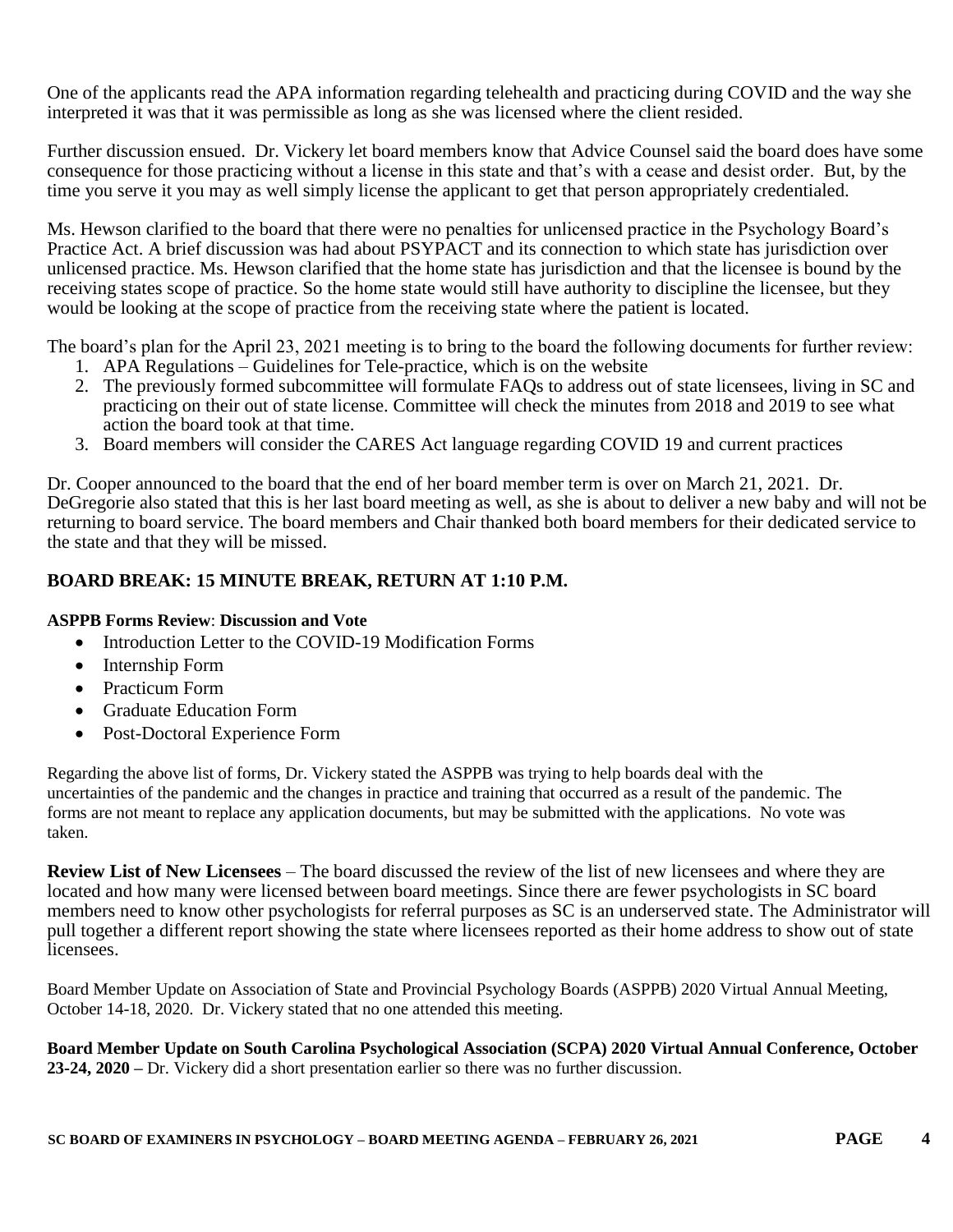One of the applicants read the APA information regarding telehealth and practicing during COVID and the way she interpreted it was that it was permissible as long as she was licensed where the client resided.

Further discussion ensued. Dr. Vickery let board members know that Advice Counsel said the board does have some consequence for those practicing without a license in this state and that's with a cease and desist order. But, by the time you serve it you may as well simply license the applicant to get that person appropriately credentialed.

Ms. Hewson clarified to the board that there were no penalties for unlicensed practice in the Psychology Board's Practice Act. A brief discussion was had about PSYPACT and its connection to which state has jurisdiction over unlicensed practice. Ms. Hewson clarified that the home state has jurisdiction and that the licensee is bound by the receiving states scope of practice. So the home state would still have authority to discipline the licensee, but they would be looking at the scope of practice from the receiving state where the patient is located.

The board's plan for the April 23, 2021 meeting is to bring to the board the following documents for further review:

- 1. APA Regulations Guidelines for Tele-practice, which is on the website
- 2. The previously formed subcommittee will formulate FAQs to address out of state licensees, living in SC and practicing on their out of state license. Committee will check the minutes from 2018 and 2019 to see what action the board took at that time.
- 3. Board members will consider the CARES Act language regarding COVID 19 and current practices

Dr. Cooper announced to the board that the end of her board member term is over on March 21, 2021. Dr. DeGregorie also stated that this is her last board meeting as well, as she is about to deliver a new baby and will not be returning to board service. The board members and Chair thanked both board members for their dedicated service to the state and that they will be missed.

# **BOARD BREAK: 15 MINUTE BREAK, RETURN AT 1:10 P.M.**

# **ASPPB Forms Review**: **Discussion and Vote**

- Introduction Letter to the COVID-19 Modification Forms
- Internship Form
- Practicum Form
- Graduate Education Form
- Post-Doctoral Experience Form

Regarding the above list of forms, Dr. Vickery stated the ASPPB was trying to help boards deal with the uncertainties of the pandemic and the changes in practice and training that occurred as a result of the pandemic. The forms are not meant to replace any application documents, but may be submitted with the applications. No vote was taken.

**Review List of New Licensees** – The board discussed the review of the list of new licensees and where they are located and how many were licensed between board meetings. Since there are fewer psychologists in SC board members need to know other psychologists for referral purposes as SC is an underserved state. The Administrator will pull together a different report showing the state where licensees reported as their home address to show out of state licensees.

Board Member Update on Association of State and Provincial Psychology Boards (ASPPB) 2020 Virtual Annual Meeting, October 14-18, 2020. Dr. Vickery stated that no one attended this meeting.

**Board Member Update on South Carolina Psychological Association (SCPA) 2020 Virtual Annual Conference, October 23-24, 2020 –** Dr. Vickery did a short presentation earlier so there was no further discussion.